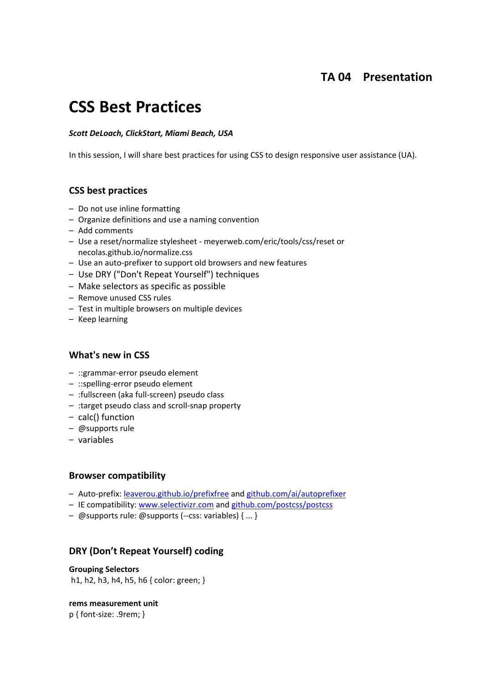# **TA 04 Presentation**

# **CSS Best Practices**

#### *Scott DeLoach, ClickStart, Miami Beach, USA*

In this session, I will share best practices for using CSS to design responsive user assistance (UA).

## **CSS best practices**

- Do not use inline formatting
- Organize definitions and use a naming convention
- Add comments
- Use a reset/normalize stylesheet meyerweb.com/eric/tools/css/reset or necolas.github.io/normalize.css
- Use an auto-prefixer to support old browsers and new features
- Use DRY ("Don't Repeat Yourself") techniques
- Make selectors as specific as possible
- Remove unused CSS rules
- Test in multiple browsers on multiple devices
- Keep learning

#### **What's new in CSS**

- ::grammar-error pseudo element
- ::spelling-error pseudo element
- :fullscreen (aka full-screen) pseudo class
- :target pseudo class and scroll-snap property
- calc() function
- @supports rule
- variables

#### **Browser compatibility**

- Auto-prefix[: leaverou.github.io/prefixfree](http://leaverou.github.io/prefixfree) and [github.com/ai/autoprefixer](http://github.com/ai/autoprefixer)
- IE compatibility: [www.selectivizr.com](http://www.selectivizr.com/) and [github.com/postcss/postcss](http://github.com/postcss/postcss)
- @supports rule: @supports (--css: variables) { ... }

#### **DRY (Don't Repeat Yourself) coding**

#### **Grouping Selectors**

h1, h2, h3, h4, h5, h6 { color: green; }

**rems measurement unit** p { font-size: .9rem; }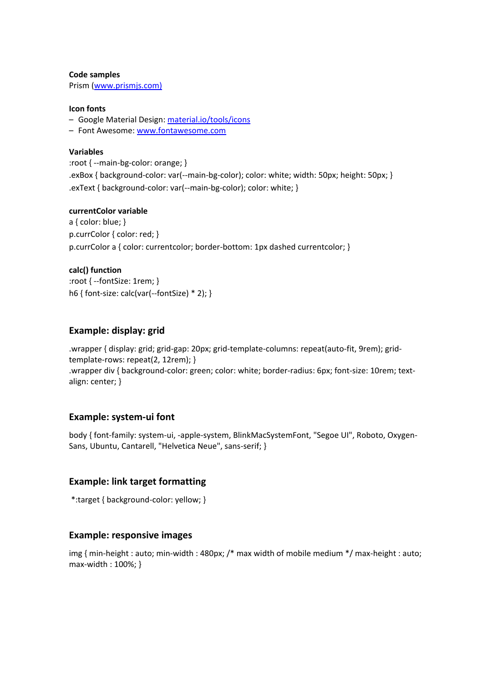#### **Code samples**

Prism [\(www.prismjs.com\)](http://www.prismjs.com/)

#### **Icon fonts**

– Google Material Design[: material.io/tools/icons](http://material.io/tools/icons)

– Font Awesome[: www.fontawesome.com](http://www.fontawesome.com/)

#### **Variables**

:root { --main-bg-color: orange; } .exBox { background-color: var(--main-bg-color); color: white; width: 50px; height: 50px; } .exText { background-color: var(--main-bg-color); color: white; }

#### **currentColor variable**

a { color: blue; } p.currColor { color: red; } p.currColor a { color: currentcolor; border-bottom: 1px dashed currentcolor; }

#### **calc() function**

:root { --fontSize: 1rem; } h6 { font-size: calc(var(--fontSize) \* 2); }

## **Example: display: grid**

.wrapper { display: grid; grid-gap: 20px; grid-template-columns: repeat(auto-fit, 9rem); gridtemplate-rows: repeat(2, 12rem); } .wrapper div { background-color: green; color: white; border-radius: 6px; font-size: 10rem; textalign: center; }

#### **Example: system-ui font**

body { font-family: system-ui, -apple-system, BlinkMacSystemFont, "Segoe UI", Roboto, Oxygen-Sans, Ubuntu, Cantarell, "Helvetica Neue", sans-serif; }

# **Example: link target formatting**

\*:target { background-color: yellow; }

#### **Example: responsive images**

img { min-height : auto; min-width : 480px; /\* max width of mobile medium \*/ max-height : auto; max-width : 100%; }